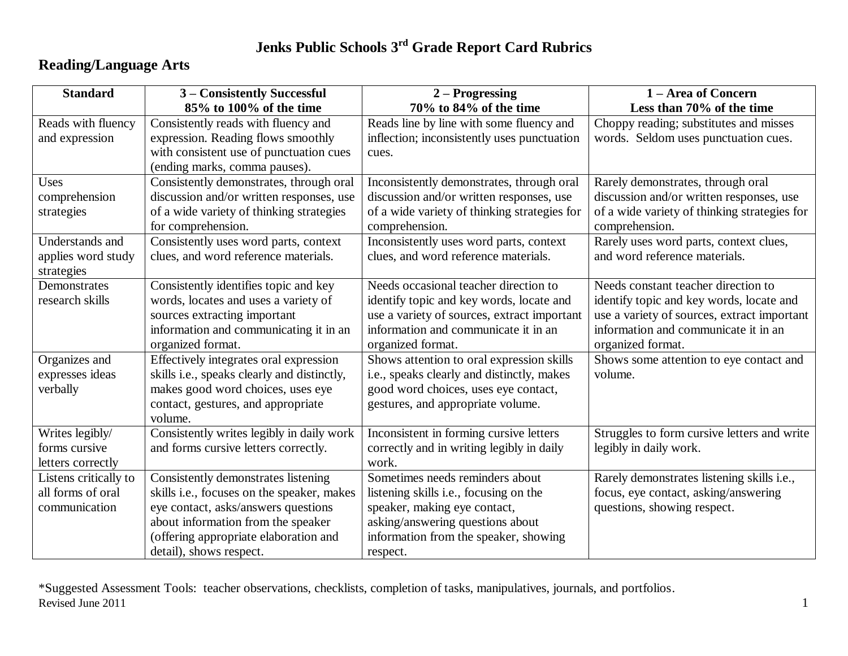# **Reading/Language Arts**

| <b>Standard</b>       | 3 - Consistently Successful                 | $2 -$ Progressing                              | 1 – Area of Concern                          |
|-----------------------|---------------------------------------------|------------------------------------------------|----------------------------------------------|
|                       | 85% to 100% of the time                     | 70% to 84% of the time                         | Less than 70% of the time                    |
| Reads with fluency    | Consistently reads with fluency and         | Reads line by line with some fluency and       | Choppy reading; substitutes and misses       |
| and expression        | expression. Reading flows smoothly          | inflection; inconsistently uses punctuation    | words. Seldom uses punctuation cues.         |
|                       | with consistent use of punctuation cues     | cues.                                          |                                              |
|                       | (ending marks, comma pauses).               |                                                |                                              |
| Uses                  | Consistently demonstrates, through oral     | Inconsistently demonstrates, through oral      | Rarely demonstrates, through oral            |
| comprehension         | discussion and/or written responses, use    | discussion and/or written responses, use       | discussion and/or written responses, use     |
| strategies            | of a wide variety of thinking strategies    | of a wide variety of thinking strategies for   | of a wide variety of thinking strategies for |
|                       | for comprehension.                          | comprehension.                                 | comprehension.                               |
| Understands and       | Consistently uses word parts, context       | Inconsistently uses word parts, context        | Rarely uses word parts, context clues,       |
| applies word study    | clues, and word reference materials.        | clues, and word reference materials.           | and word reference materials.                |
| strategies            |                                             |                                                |                                              |
| Demonstrates          | Consistently identifies topic and key       | Needs occasional teacher direction to          | Needs constant teacher direction to          |
| research skills       | words, locates and uses a variety of        | identify topic and key words, locate and       | identify topic and key words, locate and     |
|                       | sources extracting important                | use a variety of sources, extract important    | use a variety of sources, extract important  |
|                       | information and communicating it in an      | information and communicate it in an           | information and communicate it in an         |
|                       | organized format.                           | organized format.                              | organized format.                            |
| Organizes and         | Effectively integrates oral expression      | Shows attention to oral expression skills      | Shows some attention to eye contact and      |
| expresses ideas       | skills i.e., speaks clearly and distinctly, | i.e., speaks clearly and distinctly, makes     | volume.                                      |
| verbally              | makes good word choices, uses eye           | good word choices, uses eye contact,           |                                              |
|                       | contact, gestures, and appropriate          | gestures, and appropriate volume.              |                                              |
|                       | volume.                                     |                                                |                                              |
| Writes legibly/       | Consistently writes legibly in daily work   | Inconsistent in forming cursive letters        | Struggles to form cursive letters and write  |
| forms cursive         | and forms cursive letters correctly.        | correctly and in writing legibly in daily      | legibly in daily work.                       |
| letters correctly     |                                             | work.                                          |                                              |
| Listens critically to | Consistently demonstrates listening         | Sometimes needs reminders about                | Rarely demonstrates listening skills i.e.,   |
| all forms of oral     | skills i.e., focuses on the speaker, makes  | listening skills <i>i.e.</i> , focusing on the | focus, eye contact, asking/answering         |
| communication         | eye contact, asks/answers questions         | speaker, making eye contact,                   | questions, showing respect.                  |
|                       | about information from the speaker          | asking/answering questions about               |                                              |
|                       | (offering appropriate elaboration and       | information from the speaker, showing          |                                              |
|                       | detail), shows respect.                     | respect.                                       |                                              |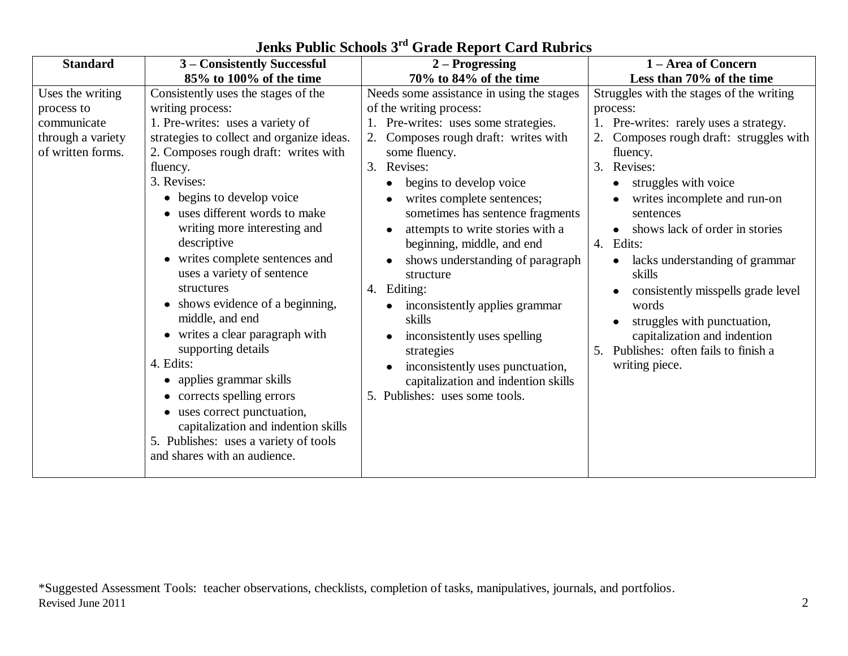| <b>Standard</b>                                                                         | 3 – Consistently Successful                                                                                                                                                                                                                                                                                                                                                                                                                                                                                                                                                                                                                                                                                                              | $2 -$ Progressing                                                                                                                                                                                                                                                                                                                                                                                                                                                                                                                                                                                                             | 1 – Area of Concern                                                                                                                                                                                                                                                                                                                                                                                                                                                                                                                     |
|-----------------------------------------------------------------------------------------|------------------------------------------------------------------------------------------------------------------------------------------------------------------------------------------------------------------------------------------------------------------------------------------------------------------------------------------------------------------------------------------------------------------------------------------------------------------------------------------------------------------------------------------------------------------------------------------------------------------------------------------------------------------------------------------------------------------------------------------|-------------------------------------------------------------------------------------------------------------------------------------------------------------------------------------------------------------------------------------------------------------------------------------------------------------------------------------------------------------------------------------------------------------------------------------------------------------------------------------------------------------------------------------------------------------------------------------------------------------------------------|-----------------------------------------------------------------------------------------------------------------------------------------------------------------------------------------------------------------------------------------------------------------------------------------------------------------------------------------------------------------------------------------------------------------------------------------------------------------------------------------------------------------------------------------|
|                                                                                         | 85% to 100% of the time                                                                                                                                                                                                                                                                                                                                                                                                                                                                                                                                                                                                                                                                                                                  | 70% to 84% of the time                                                                                                                                                                                                                                                                                                                                                                                                                                                                                                                                                                                                        | Less than 70% of the time                                                                                                                                                                                                                                                                                                                                                                                                                                                                                                               |
| Uses the writing<br>process to<br>communicate<br>through a variety<br>of written forms. | Consistently uses the stages of the<br>writing process:<br>1. Pre-writes: uses a variety of<br>strategies to collect and organize ideas.<br>2. Composes rough draft: writes with<br>fluency.<br>3. Revises:<br>• begins to develop voice<br>uses different words to make<br>writing more interesting and<br>descriptive<br>• writes complete sentences and<br>uses a variety of sentence<br>structures<br>• shows evidence of a beginning,<br>middle, and end<br>• writes a clear paragraph with<br>supporting details<br>4. Edits:<br>• applies grammar skills<br>corrects spelling errors<br>uses correct punctuation,<br>capitalization and indention skills<br>5. Publishes: uses a variety of tools<br>and shares with an audience. | Needs some assistance in using the stages<br>of the writing process:<br>Pre-writes: uses some strategies.<br>Composes rough draft: writes with<br>2.<br>some fluency.<br>3.<br>Revises:<br>begins to develop voice<br>writes complete sentences;<br>sometimes has sentence fragments<br>attempts to write stories with a<br>beginning, middle, and end<br>shows understanding of paragraph<br>structure<br>4. Editing:<br>inconsistently applies grammar<br>skills<br>inconsistently uses spelling<br>strategies<br>inconsistently uses punctuation,<br>capitalization and indention skills<br>5. Publishes: uses some tools. | Struggles with the stages of the writing<br>process:<br>1. Pre-writes: rarely uses a strategy.<br>2. Composes rough draft: struggles with<br>fluency.<br>3. Revises:<br>struggles with voice<br>writes incomplete and run-on<br>sentences<br>shows lack of order in stories<br>$\bullet$<br>4. Edits:<br>lacks understanding of grammar<br>$\bullet$<br>skills<br>consistently misspells grade level<br>words<br>struggles with punctuation,<br>capitalization and indention<br>5. Publishes: often fails to finish a<br>writing piece. |
|                                                                                         |                                                                                                                                                                                                                                                                                                                                                                                                                                                                                                                                                                                                                                                                                                                                          |                                                                                                                                                                                                                                                                                                                                                                                                                                                                                                                                                                                                                               |                                                                                                                                                                                                                                                                                                                                                                                                                                                                                                                                         |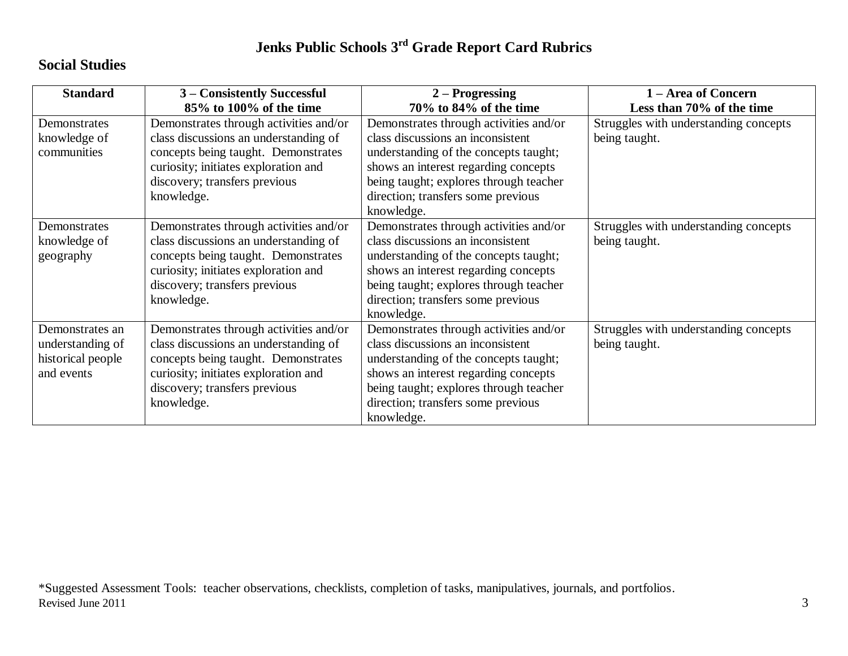### **Social Studies**

| <b>Standard</b>   | 3 – Consistently Successful            | $2 -$ Progressing                      | 1 – Area of Concern                   |
|-------------------|----------------------------------------|----------------------------------------|---------------------------------------|
|                   | 85% to 100% of the time                | 70% to 84% of the time                 | Less than 70% of the time             |
| Demonstrates      | Demonstrates through activities and/or | Demonstrates through activities and/or | Struggles with understanding concepts |
| knowledge of      | class discussions an understanding of  | class discussions an inconsistent      | being taught.                         |
| communities       | concepts being taught. Demonstrates    | understanding of the concepts taught;  |                                       |
|                   | curiosity; initiates exploration and   | shows an interest regarding concepts   |                                       |
|                   | discovery; transfers previous          | being taught; explores through teacher |                                       |
|                   | knowledge.                             | direction; transfers some previous     |                                       |
|                   |                                        | knowledge.                             |                                       |
| Demonstrates      | Demonstrates through activities and/or | Demonstrates through activities and/or | Struggles with understanding concepts |
| knowledge of      | class discussions an understanding of  | class discussions an inconsistent      | being taught.                         |
| geography         | concepts being taught. Demonstrates    | understanding of the concepts taught;  |                                       |
|                   | curiosity; initiates exploration and   | shows an interest regarding concepts   |                                       |
|                   | discovery; transfers previous          | being taught; explores through teacher |                                       |
|                   | knowledge.                             | direction; transfers some previous     |                                       |
|                   |                                        | knowledge.                             |                                       |
| Demonstrates an   | Demonstrates through activities and/or | Demonstrates through activities and/or | Struggles with understanding concepts |
| understanding of  | class discussions an understanding of  | class discussions an inconsistent      | being taught.                         |
| historical people | concepts being taught. Demonstrates    | understanding of the concepts taught;  |                                       |
| and events        | curiosity; initiates exploration and   | shows an interest regarding concepts   |                                       |
|                   | discovery; transfers previous          | being taught; explores through teacher |                                       |
|                   | knowledge.                             | direction; transfers some previous     |                                       |
|                   |                                        | knowledge.                             |                                       |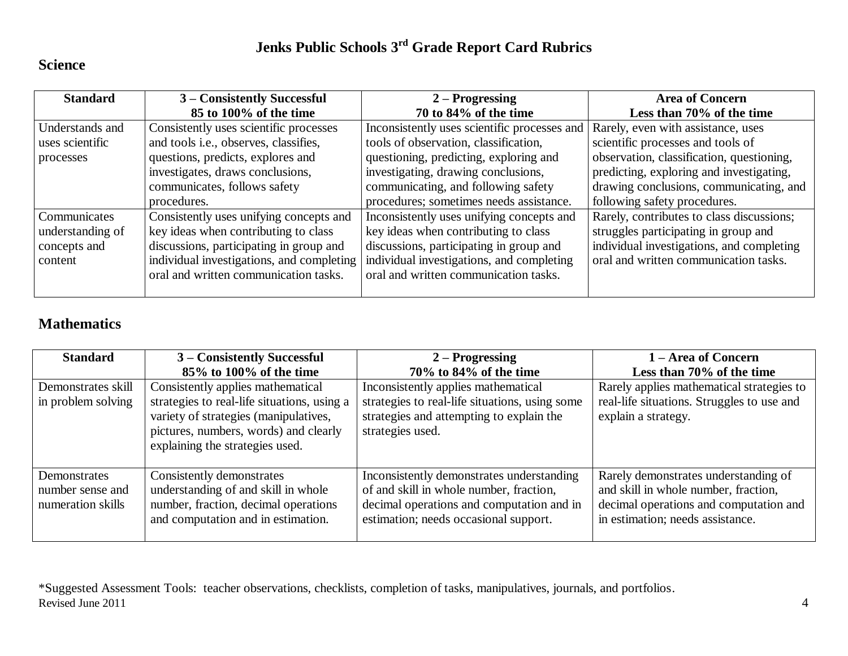#### **Science**

| <b>Standard</b>  | 3 – Consistently Successful               | $2 -$ Progressing                                                               | <b>Area of Concern</b>                    |
|------------------|-------------------------------------------|---------------------------------------------------------------------------------|-------------------------------------------|
|                  | 85 to 100% of the time                    | 70 to 84% of the time                                                           | Less than 70% of the time                 |
| Understands and  | Consistently uses scientific processes    | Inconsistently uses scientific processes and Rarely, even with assistance, uses |                                           |
| uses scientific  | and tools i.e., observes, classifies,     | tools of observation, classification,                                           | scientific processes and tools of         |
| processes        | questions, predicts, explores and         | questioning, predicting, exploring and                                          | observation, classification, questioning, |
|                  | investigates, draws conclusions,          | investigating, drawing conclusions,                                             | predicting, exploring and investigating,  |
|                  | communicates, follows safety              | communicating, and following safety                                             | drawing conclusions, communicating, and   |
|                  | procedures.                               | procedures; sometimes needs assistance.                                         | following safety procedures.              |
| Communicates     | Consistently uses unifying concepts and   | Inconsistently uses unifying concepts and                                       | Rarely, contributes to class discussions; |
| understanding of | key ideas when contributing to class      | key ideas when contributing to class                                            | struggles participating in group and      |
| concepts and     | discussions, participating in group and   | discussions, participating in group and                                         | individual investigations, and completing |
| content          | individual investigations, and completing | individual investigations, and completing                                       | oral and written communication tasks.     |
|                  | oral and written communication tasks.     | oral and written communication tasks.                                           |                                           |
|                  |                                           |                                                                                 |                                           |

### **Mathematics**

| <b>Standard</b>    | 3 – Consistently Successful                 | $2 -$ Progressing                              | 1 – Area of Concern                        |
|--------------------|---------------------------------------------|------------------------------------------------|--------------------------------------------|
|                    | 85% to 100% of the time                     | $70\%$ to $84\%$ of the time                   | Less than 70% of the time                  |
| Demonstrates skill | Consistently applies mathematical           | Inconsistently applies mathematical            | Rarely applies mathematical strategies to  |
| in problem solving | strategies to real-life situations, using a | strategies to real-life situations, using some | real-life situations. Struggles to use and |
|                    | variety of strategies (manipulatives,       | strategies and attempting to explain the       | explain a strategy.                        |
|                    | pictures, numbers, words) and clearly       | strategies used.                               |                                            |
|                    | explaining the strategies used.             |                                                |                                            |
|                    |                                             |                                                |                                            |
| Demonstrates       | Consistently demonstrates                   | Inconsistently demonstrates understanding      | Rarely demonstrates understanding of       |
| number sense and   | understanding of and skill in whole         | of and skill in whole number, fraction,        | and skill in whole number, fraction,       |
| numeration skills  | number, fraction, decimal operations        | decimal operations and computation and in      | decimal operations and computation and     |
|                    | and computation and in estimation.          | estimation; needs occasional support.          | in estimation; needs assistance.           |
|                    |                                             |                                                |                                            |